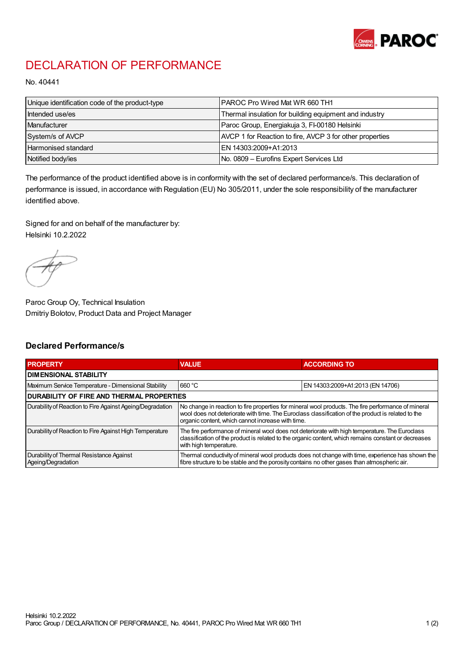

## DECLARATION OF PERFORMANCE

No. 40441

| Unique identification code of the product-type | <b>PAROC Pro Wired Mat WR 660 TH1</b>                    |
|------------------------------------------------|----------------------------------------------------------|
| Intended use/es                                | Thermal insulation for building equipment and industry   |
| Manufacturer                                   | Paroc Group, Energiakuja 3, FI-00180 Helsinki            |
| System/s of AVCP                               | AVCP 1 for Reaction to fire, AVCP 3 for other properties |
| Harmonised standard                            | IEN 14303:2009+A1:2013                                   |
| Notified body/ies                              | No. 0809 - Eurofins Expert Services Ltd                  |

The performance of the product identified above is in conformity with the set of declared performance/s. This declaration of performance is issued, in accordance with Regulation (EU) No 305/2011, under the sole responsibility of the manufacturer identified above.

Signed for and on behalf of the manufacturer by: Helsinki 10.2.2022

Paroc Group Oy, Technical Insulation Dmitriy Bolotov, Product Data and Project Manager

## Declared Performance/s

| <b>PROPERTY</b>                                                | <b>VALUE</b>                                                                                                                                                                                                                                                   | <b>ACCORDING TO.</b>             |  |
|----------------------------------------------------------------|----------------------------------------------------------------------------------------------------------------------------------------------------------------------------------------------------------------------------------------------------------------|----------------------------------|--|
| <b>DIMENSIONAL STABILITY</b>                                   |                                                                                                                                                                                                                                                                |                                  |  |
| Maximum Service Temperature - Dimensional Stability            | 660 °C                                                                                                                                                                                                                                                         | EN 14303:2009+A1:2013 (EN 14706) |  |
| <b>DURABILITY OF FIRE AND THERMAL PROPERTIES</b>               |                                                                                                                                                                                                                                                                |                                  |  |
| Durability of Reaction to Fire Against Ageing/Degradation      | No change in reaction to fire properties for mineral wool products. The fire performance of mineral<br>wool does not deteriorate with time. The Euroclass classification of the product is related to the<br>organic content, which cannot increase with time. |                                  |  |
| Durability of Reaction to Fire Against High Temperature        | The fire performance of mineral wool does not deteriorate with high temperature. The Euroclass<br>classification of the product is related to the organic content, which remains constant or decreases<br>with high temperature.                               |                                  |  |
| Durability of Thermal Resistance Against<br>Ageing/Degradation | Thermal conductivity of mineral wool products does not change with time, experience has shown the<br>fibre structure to be stable and the porosity contains no other gases than atmospheric air.                                                               |                                  |  |